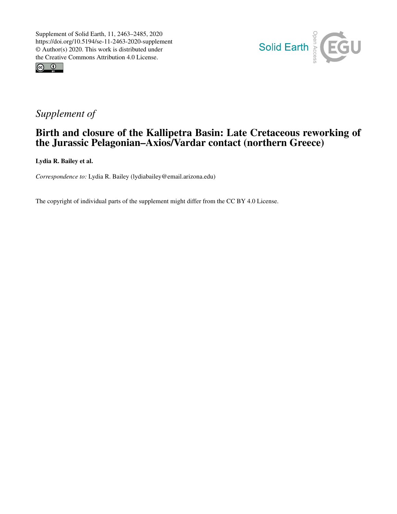



# *Supplement of*

## Birth and closure of the Kallipetra Basin: Late Cretaceous reworking of the Jurassic Pelagonian–Axios/Vardar contact (northern Greece)

Lydia R. Bailey et al.

*Correspondence to:* Lydia R. Bailey (lydiabailey@email.arizona.edu)

The copyright of individual parts of the supplement might differ from the CC BY 4.0 License.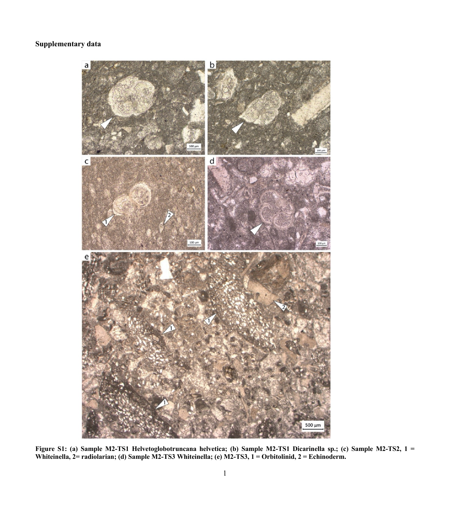## **Supplementary data**



**Figure S1: (a) Sample M2-TS1 Helvetoglobotruncana helvetica; (b) Sample M2-TS1 Dicarinella sp.; (c) Sample M2-TS2, 1 =**  Whiteinella, 2= radiolarian; (d) Sample M2-TS3 Whiteinella; (e) M2-TS3, 1 = Orbitolinid, 2 = Echinoderm.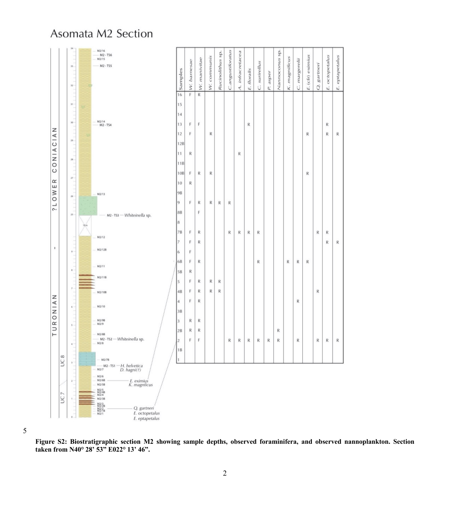

## Asomata M2 Section

5

**Figure S2: Biostratigraphic section M2 showing sample depths, observed foraminifera, and observed nannoplankton. Section taken from N40° 28' 53" E022° 13' 46".**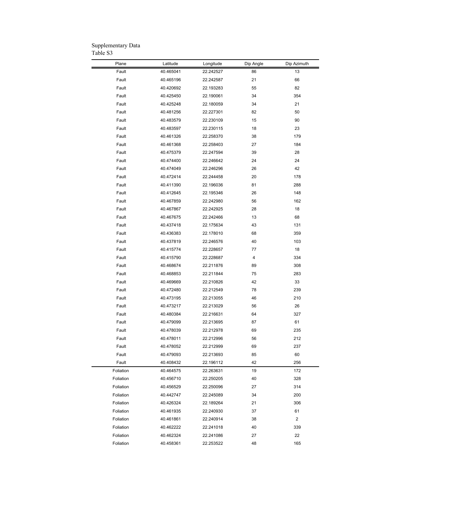| Plane     | Latitude  | Longitude | Dip Angle | Dip Azimuth             |
|-----------|-----------|-----------|-----------|-------------------------|
| Fault     | 40.465041 | 22.242527 | 86        | 13                      |
| Fault     | 40.465196 | 22.242587 | 21        | 66                      |
| Fault     | 40.420692 | 22.193283 | 55        | 82                      |
| Fault     | 40.425450 | 22.190061 | 34        | 354                     |
| Fault     | 40.425248 | 22.180059 | 34        | 21                      |
| Fault     | 40.481256 | 22.227301 | 82        | 50                      |
| Fault     | 40.483579 | 22.230109 | 15        | 90                      |
| Fault     | 40.483597 | 22.230115 | 18        | 23                      |
| Fault     | 40.461326 | 22.258370 | 38        | 179                     |
| Fault     | 40.461368 | 22.258403 | 27        | 184                     |
| Fault     | 40.475379 | 22.247594 | 39        | 28                      |
| Fault     | 40.474400 | 22.246642 | 24        | 24                      |
| Fault     | 40.474049 | 22.246296 | 26        | 42                      |
| Fault     | 40.472414 | 22.244458 | 20        | 178                     |
| Fault     | 40.411390 | 22.196036 | 81        | 288                     |
| Fault     | 40.412645 | 22.195346 | 26        | 148                     |
| Fault     | 40.467859 | 22.242980 | 56        | 162                     |
| Fault     | 40.467867 | 22.242925 | 28        | 18                      |
| Fault     | 40.467675 | 22.242466 | 13        | 68                      |
| Fault     | 40.437418 | 22.175634 | 43        | 131                     |
| Fault     | 40.436383 | 22.178010 | 68        | 359                     |
| Fault     |           | 22.246576 | 40        | 103                     |
|           | 40.437819 |           |           |                         |
| Fault     | 40.415774 | 22.228657 | 77<br>4   | 18<br>334               |
| Fault     | 40.415790 | 22.228687 |           |                         |
| Fault     | 40.468674 | 22.211876 | 89        | 308                     |
| Fault     | 40.468853 | 22.211844 | 75        | 283                     |
| Fault     | 40.469669 | 22.210826 | 42        | 33                      |
| Fault     | 40.472480 | 22.212549 | 78        | 239                     |
| Fault     | 40.473195 | 22.213055 | 46        | 210                     |
| Fault     | 40.473217 | 22.213029 | 56        | 26                      |
| Fault     | 40.480384 | 22.216631 | 64        | 327                     |
| Fault     | 40.479099 | 22.213695 | 87        | 61                      |
| Fault     | 40.478039 | 22.212978 | 69        | 235                     |
| Fault     | 40.478011 | 22.212996 | 56        | 212                     |
| Fault     | 40.478052 | 22.212999 | 69        | 237                     |
| Fault     | 40.479093 | 22.213693 | 85        | 60                      |
| Fault     | 40.408432 | 22.196112 | 42        | 256                     |
| Foliation | 40.464575 | 22.263631 | 19        | 172                     |
| Foliation | 40.456710 | 22.250205 | 40        | 328                     |
| Foliation | 40.456529 | 22.250096 | 27        | 314                     |
| Foliation | 40.442747 | 22.245089 | 34        | 200                     |
| Foliation | 40.426324 | 22.189264 | 21        | 306                     |
| Foliation | 40.461935 | 22.240930 | 37        | 61                      |
| Foliation | 40.461861 | 22.240914 | 38        | $\overline{\mathbf{c}}$ |
| Foliation | 40.462222 | 22.241018 | 40        | 339                     |
| Foliation | 40.462324 | 22.241086 | 27        | 22                      |
| Foliation | 40.458361 | 22.253522 | 48        | 165                     |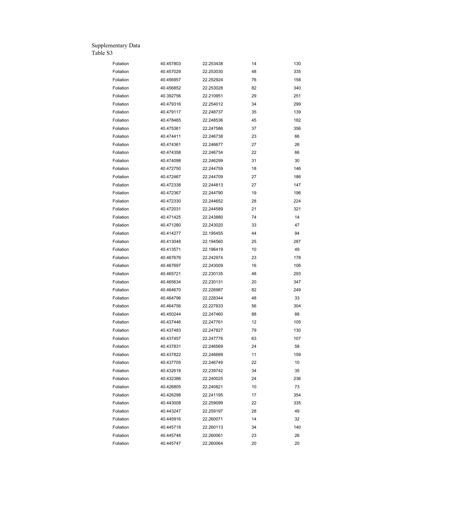| Foliation | 40.457803 | 22.253438 | 14 | 130 |
|-----------|-----------|-----------|----|-----|
| Foliation | 40.457029 | 22.253030 | 48 | 335 |
| Foliation | 40.456957 | 22.252924 | 76 | 158 |
| Foliation | 40.456852 | 22.253028 | 82 | 340 |
| Foliation | 40.392756 | 22.210951 | 29 | 251 |
| Foliation | 40.479316 | 22.254012 | 34 | 299 |
| Foliation | 40.479117 | 22.248737 | 35 | 139 |
| Foliation | 40.478465 | 22.248536 | 45 | 182 |
| Foliation | 40.475361 | 22.247586 | 37 | 356 |
| Foliation | 40.474411 | 22.246738 | 23 | 66  |
| Foliation | 40.474361 | 22.246677 | 27 | 26  |
| Foliation | 40.474358 | 22.246734 | 22 | 66  |
| Foliation | 40.474098 | 22.246299 | 31 | 30  |
| Foliation | 40.472750 | 22.244759 | 18 | 146 |
| Foliation | 40.472467 | 22.244709 | 27 | 186 |
| Foliation | 40.472338 | 22.244813 | 27 | 147 |
| Foliation | 40.472367 | 22.244790 | 19 | 196 |
| Foliation | 40.472330 | 22.244652 | 28 | 224 |
| Foliation | 40.472031 | 22.244589 | 21 | 321 |
| Foliation | 40.471425 | 22.243880 | 74 | 14  |
| Foliation | 40.471280 | 22.243020 | 33 | 47  |
| Foliation | 40.414277 | 22.195455 | 44 | 94  |
| Foliation | 40.413048 | 22.194560 | 25 | 287 |
| Foliation | 40.413571 | 22.196419 | 10 | 49  |
| Foliation | 40.467676 | 22.242974 | 23 | 178 |
| Foliation | 40.467697 | 22.243009 | 16 | 106 |
| Foliation | 40.465721 | 22.230135 | 48 | 293 |
| Foliation | 40.465634 | 22.230131 | 20 | 347 |
| Foliation | 40.464670 | 22.226987 | 82 | 249 |
| Foliation | 40.464796 | 22.228344 | 48 | 33  |
| Foliation | 40.464756 | 22.227833 | 56 | 304 |
| Foliation | 40.450244 | 22.247460 | 88 | 88  |
| Foliation | 40.437446 | 22.247761 | 12 | 105 |
| Foliation | 40.437483 | 22.247827 | 79 | 130 |
| Foliation | 40.437457 | 22.247776 | 63 | 107 |
| Foliation | 40.437831 | 22.246569 | 24 | 58  |
| Foliation | 40.437822 | 22.246689 | 11 | 159 |
| Foliation | 40.437705 | 22.246749 | 22 | 10  |
| Foliation | 40.432618 | 22.239742 | 34 | 35  |
| Foliation | 40.432386 | 22.240025 | 24 | 236 |
| Foliation | 40.426805 | 22.240821 | 10 | 73  |
| Foliation | 40.426298 | 22.241195 | 17 | 354 |
| Foliation | 40.443008 | 22.259099 | 22 | 335 |
| Foliation | 40.443247 | 22.259197 | 28 | 49  |
| Foliation | 40.445916 | 22.260071 | 14 | 32  |
| Foliation | 40.445718 | 22.260113 | 34 | 140 |
| Foliation | 40.445748 | 22.260061 | 23 | 26  |
| Foliation | 40.445747 | 22.260064 | 20 | 20  |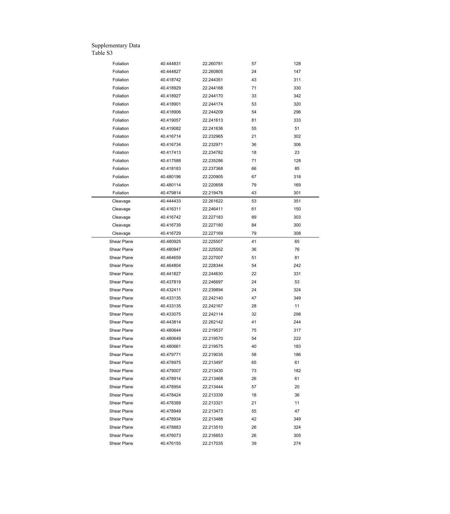| Foliation   | 40.444831 | 22.260781 | 57 | 128 |
|-------------|-----------|-----------|----|-----|
| Foliation   | 40.444827 | 22.260805 | 24 | 147 |
| Foliation   | 40.418742 | 22.244351 | 43 | 311 |
| Foliation   | 40.418929 | 22.244168 | 71 | 330 |
| Foliation   | 40.418927 | 22.244170 | 33 | 342 |
| Foliation   | 40.418901 | 22.244174 | 53 | 320 |
| Foliation   | 40.418906 | 22.244209 | 54 | 296 |
| Foliation   | 40.419057 | 22.241613 | 81 | 333 |
| Foliation   | 40.419082 | 22.241636 | 55 | 51  |
| Foliation   | 40.416714 | 22.232965 | 21 | 302 |
| Foliation   | 40.416734 | 22.232971 | 36 | 306 |
| Foliation   | 40.417413 | 22.234782 | 18 | 23  |
|             |           |           |    |     |
| Foliation   | 40.417588 | 22.235286 | 71 | 128 |
| Foliation   | 40.418183 | 22.237368 | 66 | 85  |
| Foliation   | 40.480196 | 22.220905 | 67 | 318 |
| Foliation   | 40.480114 | 22.220658 | 79 | 169 |
| Foliation   | 40.479814 | 22.219476 | 43 | 301 |
| Cleavage    | 40.444433 | 22.261622 | 53 | 351 |
| Cleavage    | 40.416311 | 22.246411 | 61 | 150 |
| Cleavage    | 40.416742 | 22.227183 | 89 | 303 |
| Cleavage    | 40.416739 | 22.227180 | 84 | 300 |
| Cleavage    | 40.416729 | 22.227169 | 79 | 308 |
| Shear Plane | 40.480925 | 22.225507 | 41 | 65  |
| Shear Plane | 40.480947 | 22.225552 | 36 | 76  |
| Shear Plane | 40.464659 | 22.227007 | 51 | 81  |
| Shear Plane | 40.464804 | 22.228344 | 54 | 242 |
| Shear Plane | 40.441827 | 22.244630 | 22 | 331 |
| Shear Plane | 40.437819 | 22.246697 | 24 | 53  |
| Shear Plane | 40.432411 | 22.239894 | 24 | 324 |
| Shear Plane | 40.433135 | 22.242140 | 47 | 349 |
| Shear Plane | 40.433135 | 22.242167 | 28 | 11  |
| Shear Plane | 40.433075 | 22.242114 | 32 | 298 |
| Shear Plane | 40.443814 | 22.262142 | 41 | 244 |
| Shear Plane | 40.480644 | 22.219537 | 75 | 317 |
| Shear Plane | 40.480649 | 22.219570 | 54 | 222 |
| Shear Plane | 40.480661 | 22.219575 | 40 | 183 |
| Shear Plane | 40.479771 | 22.219035 | 58 | 186 |
| Shear Plane | 40.478975 | 22.213497 | 65 | 61  |
| Shear Plane | 40.479007 | 22.213430 | 73 | 182 |
| Shear Plane | 40.478914 | 22.213468 | 26 | 61  |
| Shear Plane | 40.478954 | 22.213444 | 57 | 20  |
| Shear Plane | 40.478424 | 22.213339 | 18 | 36  |
|             |           |           |    |     |
| Shear Plane | 40.478389 | 22.213321 | 21 | 11  |
| Shear Plane | 40.478949 | 22.213473 | 55 | 47  |
| Shear Plane | 40.478934 | 22.213488 | 42 | 349 |
| Shear Plane | 40.478883 | 22.213510 | 26 | 324 |
| Shear Plane | 40.476073 | 22.216853 | 26 | 305 |
| Shear Plane | 40.476155 | 22.217035 | 39 | 274 |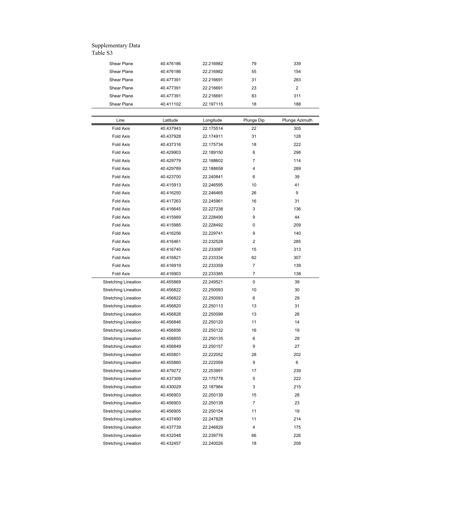| Shear Plane                          | 40.476186 | 22.216982 | 79             | 339            |
|--------------------------------------|-----------|-----------|----------------|----------------|
| Shear Plane                          | 40.476186 | 22.216982 | 55             | 154            |
| Shear Plane                          | 40.477391 | 22.216691 | 31             | 283            |
| Shear Plane                          | 40.477391 | 22.216691 | 23             | 2              |
| Shear Plane                          | 40.477391 | 22.216691 | 83             | 311            |
| Shear Plane                          | 40.411102 | 22.197115 | 18             | 188            |
|                                      |           |           |                |                |
| Line                                 | Latitude  | Longitude | Plunge Dip     | Plunge Azimuth |
| Fold Axis                            | 40.437943 | 22.175514 | 22             | 305            |
| <b>Fold Axis</b>                     | 40.437928 | 22.174911 | 31             | 128            |
| <b>Fold Axis</b>                     | 40.437316 | 22.175734 | 18             | 222            |
| <b>Fold Axis</b>                     | 40.429903 | 22.189150 | 6              | 298            |
| <b>Fold Axis</b>                     | 40.429779 | 22.188602 | $\overline{7}$ | 114            |
| <b>Fold Axis</b>                     | 40.429789 | 22.188658 | 4              | 289            |
| <b>Fold Axis</b>                     | 40.423700 | 22.240841 | 6              | 39             |
| <b>Fold Axis</b>                     |           |           | 10             | 41             |
|                                      | 40.415913 | 22.246595 |                |                |
| <b>Fold Axis</b><br><b>Fold Axis</b> | 40.416250 | 22.246465 | 26             | 9              |
|                                      | 40.417263 | 22.245961 | 16             | 31             |
| <b>Fold Axis</b>                     | 40.416645 | 22.227238 | 3              | 136            |
| <b>Fold Axis</b>                     | 40.415989 | 22.228490 | 9              | 44             |
| <b>Fold Axis</b>                     | 40.415985 | 22.228492 | 0              | 209            |
| <b>Fold Axis</b>                     | 40.416256 | 22.229741 | 9              | 140            |
| Fold Axis                            | 40.416461 | 22.232528 | 2              | 285            |
| <b>Fold Axis</b>                     | 40.416740 | 22.233087 | 15             | 313            |
| <b>Fold Axis</b>                     | 40.416821 | 22.233334 | 62             | 307            |
| <b>Fold Axis</b>                     | 40.416919 | 22.233359 | $\overline{7}$ | 139            |
| <b>Fold Axis</b>                     | 40.416903 | 22.233385 | 7              | 138            |
| <b>Stretching Lineation</b>          | 40.455869 | 22.249521 | 0              | 39             |
| <b>Stretching Lineation</b>          | 40.456822 | 22.250093 | 10             | 30             |
| <b>Stretching Lineation</b>          | 40.456822 | 22.250093 | 6              | 29             |
| <b>Stretching Lineation</b>          | 40.456820 | 22.250113 | 13             | 31             |
| <b>Stretching Lineation</b>          | 40.456828 | 22.250099 | 13             | 26             |
| <b>Stretching Lineation</b>          | 40.456846 | 22.250120 | 11             | 14             |
| <b>Stretching Lineation</b>          | 40.456856 | 22.250132 | 16             | 19             |
| <b>Stretching Lineation</b>          | 40.456855 | 22.250135 | 6              | 29             |
| <b>Stretching Lineation</b>          | 40.456849 | 22.250157 | 9              | 27             |
| <b>Stretching Lineation</b>          | 40.455801 | 22.222052 | 28             | 202            |
| <b>Stretching Lineation</b>          | 40.455860 | 22.222059 | 9              | 6              |
| <b>Stretching Lineation</b>          | 40.479272 | 22.253991 | 17             | 239            |
| <b>Stretching Lineation</b>          | 40.437309 | 22.175778 | 5              | 222            |
| <b>Stretching Lineation</b>          | 40.430029 | 22.187984 | 3              | 215            |
| <b>Stretching Lineation</b>          | 40.456903 | 22.250139 | 15             | 28             |
| <b>Stretching Lineation</b>          | 40.456903 | 22.250139 | $\overline{7}$ | 23             |
| <b>Stretching Lineation</b>          | 40.456905 | 22.250154 | 11             | 19             |
|                                      | 40.437490 | 22.247828 | 11             | 214            |
| <b>Stretching Lineation</b>          |           |           | 4              | 175            |
| <b>Stretching Lineation</b>          | 40.437739 | 22.246829 |                |                |
| <b>Stretching Lineation</b>          | 40.432548 | 22.239776 | 66             | 226            |
| <b>Stretching Lineation</b>          | 40.432457 | 22.240026 | 18             | 208            |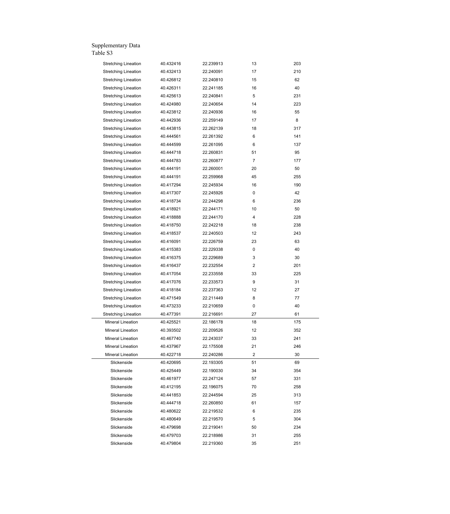| <b>Stretching Lineation</b> | 40.432416 | 22.239913 | 13             | 203 |
|-----------------------------|-----------|-----------|----------------|-----|
| <b>Stretching Lineation</b> | 40.432413 | 22.240091 | 17             | 210 |
| <b>Stretching Lineation</b> | 40.426812 | 22.240810 | 15             | 62  |
| <b>Stretching Lineation</b> | 40.426311 | 22.241185 | 16             | 40  |
| <b>Stretching Lineation</b> | 40.425613 | 22.240841 | 5              | 231 |
| <b>Stretching Lineation</b> | 40.424980 | 22.240654 | 14             | 223 |
| <b>Stretching Lineation</b> | 40.423812 | 22.240936 | 16             | 55  |
| <b>Stretching Lineation</b> | 40.442936 | 22.259149 | 17             | 8   |
| <b>Stretching Lineation</b> | 40.443815 | 22.262139 | 18             | 317 |
| <b>Stretching Lineation</b> | 40.444561 | 22.261392 | 6              | 141 |
| <b>Stretching Lineation</b> | 40.444599 | 22.261095 | 6              | 137 |
| <b>Stretching Lineation</b> | 40.444718 | 22.260831 | 51             | 95  |
| <b>Stretching Lineation</b> | 40.444783 | 22.260877 | $\overline{7}$ | 177 |
| <b>Stretching Lineation</b> | 40.444191 | 22.260001 | 20             | 50  |
| <b>Stretching Lineation</b> | 40.444191 | 22.259968 | 45             | 255 |
| <b>Stretching Lineation</b> | 40.417294 | 22.245934 | 16             | 190 |
| <b>Stretching Lineation</b> | 40.417307 | 22.245926 | 0              | 42  |
| <b>Stretching Lineation</b> | 40.418734 | 22.244298 | 6              | 236 |
| <b>Stretching Lineation</b> | 40.418921 | 22.244171 | 10             | 50  |
| <b>Stretching Lineation</b> | 40.418888 | 22.244170 | 4              | 228 |
| <b>Stretching Lineation</b> | 40.418750 | 22.242218 | 18             | 238 |
| <b>Stretching Lineation</b> | 40.418537 | 22.240503 | 12             | 243 |
| <b>Stretching Lineation</b> | 40.416091 | 22.226759 | 23             | 63  |
| <b>Stretching Lineation</b> | 40.415383 | 22.229338 | 0              | 40  |
| <b>Stretching Lineation</b> | 40.416375 | 22.229689 | 3              | 30  |
| <b>Stretching Lineation</b> | 40.416437 | 22.232554 | 2              | 201 |
| <b>Stretching Lineation</b> | 40.417054 | 22.233558 | 33             | 225 |
| <b>Stretching Lineation</b> | 40.417076 | 22.233573 | 9              | 31  |
| <b>Stretching Lineation</b> | 40.418184 | 22.237363 | 12             | 27  |
| <b>Stretching Lineation</b> | 40.471549 | 22.211449 | 8              | 77  |
| <b>Stretching Lineation</b> | 40.473233 | 22.210659 | 0              | 40  |
| <b>Stretching Lineation</b> | 40.477391 | 22.216691 | 27             | 61  |
| Mineral Lineation           | 40.425521 | 22.186178 | 18             | 175 |
| Mineral Lineation           | 40.393502 | 22.209526 | 12             | 352 |
| Mineral Lineation           | 40.467740 | 22.243037 | 33             | 241 |
| Mineral Lineation           | 40.437967 | 22.175508 | 21             | 246 |
| Mineral Lineation           | 40.422718 | 22.240286 | 2              | 30  |
| Slickenside                 | 40.420695 | 22.193305 | 51             | 69  |
| Slickenside                 | 40.425449 | 22.190030 | 34             | 354 |
| Slickenside                 | 40.461977 | 22.247124 | 57             | 331 |
| Slickenside                 | 40.412195 | 22.196075 | 70             | 258 |
| Slickenside                 | 40.441853 | 22.244594 | 25             | 313 |
| Slickenside                 | 40.444718 | 22.260850 | 61             | 157 |
| Slickenside                 | 40.480622 | 22.219532 | 6              | 235 |
| Slickenside                 | 40.480649 | 22.219570 | 5              | 304 |
| Slickenside                 | 40.479698 | 22.219041 | 50             | 234 |
| Slickenside                 | 40.479703 | 22.218986 | 31             | 255 |
| Slickenside                 | 40.479804 | 22.219360 | 35             | 251 |
|                             |           |           |                |     |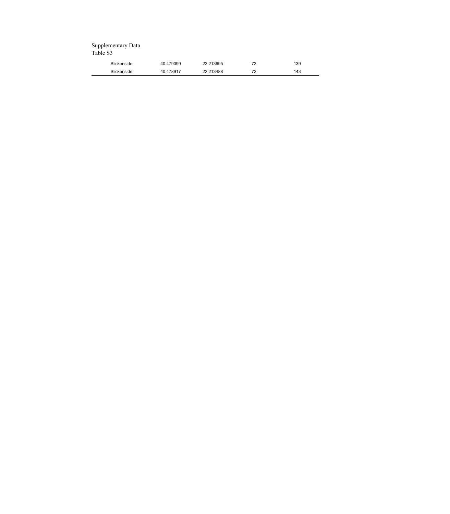| Slickenside | 40.479099 | 213695    | $\overline{\phantom{a}}$ | 139 |
|-------------|-----------|-----------|--------------------------|-----|
| Slickenside | 40.478917 | 22.213488 | 70                       | 143 |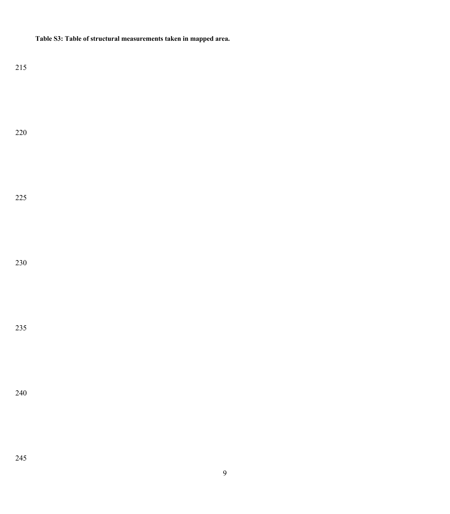**Table S3: Table of structural measurements taken in mapped area.**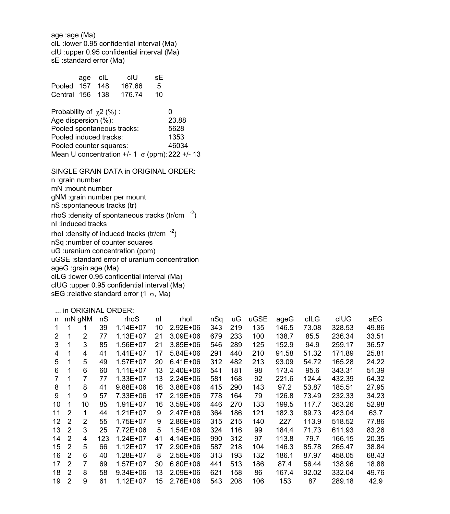age :age (Ma) cIL :lower 0.95 confidential interval (Ma) cIU :upper 0.95 confidential interval (Ma) sE :standard error (Ma)

|                 | age clL | cIU    | sE. |  |
|-----------------|---------|--------|-----|--|
| Pooled 157 148  |         | 167.66 | - 5 |  |
| Central 156 138 |         | 176.74 | 10  |  |
|                 |         |        |     |  |

| Probability of $\gamma$ 2 (%):                          | O     |
|---------------------------------------------------------|-------|
| Age dispersion (%):                                     | 23.88 |
| Pooled spontaneous tracks:                              | 5628  |
| Pooled induced tracks:                                  | 1353  |
| Pooled counter squares:                                 | 46034 |
| Mean U concentration $+/- 1 \sigma$ (ppm): 222 $+/- 13$ |       |

SINGLE GRAIN DATA in ORIGINAL ORDER: n :grain number mN :mount number gNM :grain number per mount nS :spontaneous tracks (tr) rhoS : density of spontaneous tracks  $(tr/cm<sup>-2</sup>)$ nI :induced tracks rhol : density of induced tracks  $(tr/cm^{-2})$ nSq :number of counter squares uG :uranium concentration (ppm) uGSE :standard error of uranium concentration ageG :grain age (Ma) cILG :lower 0.95 confidential interval (Ma) cIUG :upper 0.95 confidential interval (Ma) sEG : relative standard error (1  $\sigma$ , Ma)

### ... in ORIGINAL ORDER:

| n  |                | mN gNM | nS  | rhoS         | nl | rhol         | nSq | uG  | uGSE | ageG  | cILG  | cIUG   | sEG   |
|----|----------------|--------|-----|--------------|----|--------------|-----|-----|------|-------|-------|--------|-------|
| 1. |                |        | 39  | $1.14E + 07$ | 10 | $2.92E + 06$ | 343 | 219 | 135  | 146.5 | 73.08 | 328.53 | 49.86 |
| 2  | 1              | 2      | 77  | 1.13E+07     | 21 | $3.09E + 06$ | 679 | 233 | 100  | 138.7 | 85.5  | 236.34 | 33.51 |
| 3  |                | 3      | 85  | 1.56E+07     | 21 | $3.85E + 06$ | 546 | 289 | 125  | 152.9 | 94.9  | 259.17 | 36.57 |
| 4  | 1              | 4      | 41  | $1.41E + 07$ | 17 | $5.84E + 06$ | 291 | 440 | 210  | 91.58 | 51.32 | 171.89 | 25.81 |
| 5  |                | 5      | 49  | 1.57E+07     | 20 | $6.41E + 06$ | 312 | 482 | 213  | 93.09 | 54.72 | 165.28 | 24.22 |
| 6  | 1              | 6      | 60  | $1.11E + 07$ | 13 | 2.40E+06     | 541 | 181 | 98   | 173.4 | 95.6  | 343.31 | 51.39 |
| 7  |                |        | 77  | $1.33E + 07$ | 13 | $2.24E + 06$ | 581 | 168 | 92   | 221.6 | 124.4 | 432.39 | 64.32 |
| 8  |                | 8      | 41  | 9.88E+06     | 16 | $3.86E + 06$ | 415 | 290 | 143  | 97.2  | 53.87 | 185.51 | 27.95 |
| 9  | 1              | 9      | 57  | 7.33E+06     | 17 | $2.19E + 06$ | 778 | 164 | 79   | 126.8 | 73.49 | 232.33 | 34.23 |
| 10 | 1              | 10     | 85  | $1.91E + 07$ | 16 | $3.59E + 06$ | 446 | 270 | 133  | 199.5 | 117.7 | 363.26 | 52.98 |
| 11 | 2              | 1      | 44  | $1.21E + 07$ | 9  | 2.47E+06     | 364 | 186 | 121  | 182.3 | 89.73 | 423.04 | 63.7  |
| 12 | 2              | 2      | 55  | 1.75E+07     | 9  | 2.86E+06     | 315 | 215 | 140  | 227   | 113.9 | 518.52 | 77.86 |
| 13 | 2              | 3      | 25  | 7.72E+06     | 5  | 1.54E+06     | 324 | 116 | 99   | 184.4 | 71.73 | 611.93 | 83.26 |
| 14 | $\mathfrak{p}$ | 4      | 123 | $1.24E + 07$ | 41 | $4.14E + 06$ | 990 | 312 | 97   | 113.8 | 79.7  | 166.15 | 20.35 |
| 15 | 2              | 5      | 66  | $1.12E + 07$ | 17 | $2.90E + 06$ | 587 | 218 | 104  | 146.3 | 85.78 | 265.47 | 38.84 |
| 16 | 2              | 6      | 40  | 1.28E+07     | 8  | $2.56E + 06$ | 313 | 193 | 132  | 186.1 | 87.97 | 458.05 | 68.43 |
| 17 | $\overline{2}$ | 7      | 69  | $1.57E + 07$ | 30 | $6.80E + 06$ | 441 | 513 | 186  | 87.4  | 56.44 | 138.96 | 18.88 |
| 18 | $\overline{2}$ | 8      | 58  | $9.34E + 06$ | 13 | 2.09E+06     | 621 | 158 | 86   | 167.4 | 92.02 | 332.04 | 49.76 |
| 19 | 2              | 9      | 61  | 1.12E+07     | 15 | 2.76E+06     | 543 | 208 | 106  | 153   | 87    | 289.18 | 42.9  |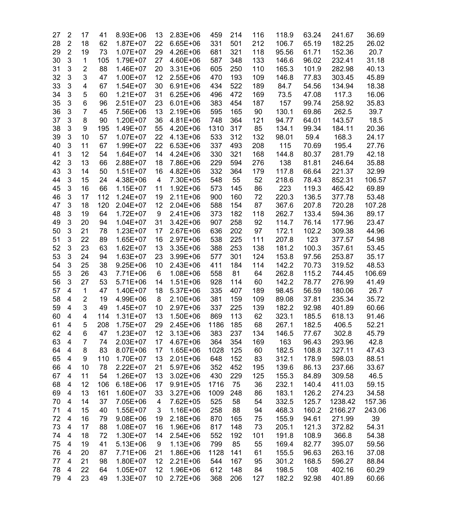| 27 | $\overline{2}$          | 17             | 41  | 8.93E+06     | 13 | $2.83E+06$   | 459  | 214 | 116 | 118.9 | 63.24 | 241.67  | 36.69  |
|----|-------------------------|----------------|-----|--------------|----|--------------|------|-----|-----|-------|-------|---------|--------|
| 28 | $\overline{2}$          | 18             | 62  | $1.87E + 07$ | 22 | 6.65E+06     | 331  | 501 | 212 | 106.7 | 65.19 | 182.25  | 26.02  |
| 29 | $\overline{2}$          | 19             | 73  | $1.07E + 07$ | 29 | 4.26E+06     | 681  | 321 | 118 | 95.56 | 61.71 | 152.36  | 20.7   |
| 30 | 3                       | $\mathbf{1}$   | 105 | 1.79E+07     | 27 | 4.60E+06     | 587  | 348 | 133 | 146.6 | 96.02 | 232.41  | 31.18  |
| 31 | 3                       | $\overline{2}$ | 88  | 1.46E+07     | 20 | $3.31E + 06$ | 605  | 250 | 110 | 165.3 | 101.9 | 282.98  | 40.13  |
| 32 | 3                       | 3              | 47  | $1.00E + 07$ | 12 | $2.55E+06$   | 470  | 193 | 109 | 146.8 | 77.83 | 303.45  | 45.89  |
| 33 | 3                       | 4              | 67  | $1.54E + 07$ | 30 | $6.91E + 06$ | 434  | 522 | 189 | 84.7  | 54.56 | 134.94  | 18.38  |
| 34 | 3                       | 5              | 60  | $1.21E+07$   | 31 | $6.25E + 06$ | 496  | 472 | 169 | 73.5  | 47.08 | 117.3   | 16.06  |
| 35 | 3                       | 6              | 96  | $2.51E+07$   | 23 | $6.01E + 06$ | 383  | 454 | 187 | 157   | 99.74 | 258.92  | 35.83  |
| 36 | 3                       | $\overline{7}$ | 45  | 7.56E+06     | 13 | 2.19E+06     | 595  | 165 | 90  | 130.1 | 69.86 | 262.5   | 39.7   |
| 37 | 3                       | 8              |     |              | 36 |              | 748  | 364 |     |       |       | 143.57  | 18.5   |
|    |                         |                | 90  | 1.20E+07     |    | $4.81E + 06$ |      |     | 121 | 94.77 | 64.01 |         |        |
| 38 | 3                       | 9              | 195 | 1.49E+07     | 55 | 4.20E+06     | 1310 | 317 | 85  | 134.1 | 99.34 | 184.11  | 20.36  |
| 39 | 3                       | 10             | 57  | $1.07E + 07$ | 22 | $4.13E + 06$ | 533  | 312 | 132 | 98.01 | 59.4  | 168.3   | 24.17  |
| 40 | 3                       | 11             | 67  | 1.99E+07     | 22 | $6.53E + 06$ | 337  | 493 | 208 | 115   | 70.69 | 195.4   | 27.76  |
| 41 | 3                       | 12             | 54  | $1.64E + 07$ | 14 | $4.24E + 06$ | 330  | 321 | 168 | 144.8 | 80.37 | 281.79  | 42.18  |
| 42 | 3                       | 13             | 66  | 2.88E+07     | 18 | 7.86E+06     | 229  | 594 | 276 | 138   | 81.81 | 246.64  | 35.88  |
| 43 | 3                       | 14             | 50  | $1.51E+07$   | 16 | $4.82E + 06$ | 332  | 364 | 179 | 117.8 | 66.64 | 221.37  | 32.99  |
| 44 | 3                       | 15             | 24  | 4.38E+06     | 4  | 7.30E+05     | 548  | 55  | 52  | 218.6 | 78.43 | 852.31  | 106.57 |
| 45 | 3                       | 16             | 66  | $1.15E + 07$ | 11 | $1.92E + 06$ | 573  | 145 | 86  | 223   | 119.3 | 465.42  | 69.89  |
| 46 | 3                       | 17             | 112 | $1.24E + 07$ | 19 | $2.11E+06$   | 900  | 160 | 72  | 220.3 | 136.5 | 377.78  | 53.48  |
| 47 | 3                       | 18             | 120 | $2.04E + 07$ | 12 | $2.04E + 06$ | 588  | 154 | 87  | 367.6 | 207.8 | 720.28  | 107.28 |
| 48 | 3                       | 19             | 64  | $1.72E + 07$ | 9  | 2.41E+06     | 373  | 182 | 118 | 262.7 | 133.4 | 594.36  | 89.17  |
| 49 | 3                       | 20             | 94  | $1.04E + 07$ | 31 | $3.42E + 06$ | 907  | 258 | 92  | 114.7 | 76.14 | 177.96  | 23.47  |
| 50 | 3                       | 21             | 78  | $1.23E + 07$ | 17 | 2.67E+06     | 636  | 202 | 97  | 172.1 | 102.2 | 309.38  | 44.96  |
| 51 | 3                       | 22             | 89  | 1.65E+07     | 16 | $2.97E + 06$ | 538  | 225 | 111 | 207.8 | 123   | 377.57  | 54.98  |
| 52 | 3                       | 23             | 63  | $1.62E + 07$ | 13 | 3.35E+06     | 388  | 253 | 138 | 181.2 | 100.3 | 357.61  | 53.45  |
| 53 | 3                       | 24             | 94  | $1.63E + 07$ | 23 | 3.99E+06     | 577  | 301 | 124 | 153.8 | 97.56 | 253.87  | 35.17  |
| 54 | 3                       | 25             | 38  | $9.25E + 06$ | 10 | $2.43E + 06$ | 411  | 184 | 114 | 142.2 | 70.73 | 319.52  | 48.53  |
| 55 | 3                       | 26             | 43  | 7.71E+06     | 6  | 1.08E+06     | 558  | 81  | 64  | 262.8 | 115.2 | 744.45  | 106.69 |
| 56 | 3                       | 27             | 53  | 5.71E+06     | 14 | $1.51E + 06$ | 928  | 114 | 60  | 142.2 | 78.77 | 276.99  | 41.49  |
| 57 | 4                       | $\mathbf 1$    | 47  | 1.40E+07     | 18 | 5.37E+06     | 335  | 407 | 189 | 98.45 | 56.59 | 180.06  | 26.7   |
|    | $\overline{4}$          | $\overline{c}$ |     |              |    |              |      | 159 |     |       |       |         | 35.72  |
| 58 |                         |                | 19  | 4.99E+06     | 8  | 2.10E+06     | 381  |     | 109 | 89.08 | 37.81 | 235.34  |        |
| 59 | 4                       | 3              | 49  | $1.45E + 07$ | 10 | 2.97E+06     | 337  | 225 | 139 | 182.2 | 92.98 | 401.89  | 60.66  |
| 60 | 4                       | 4              | 114 | $1.31E+07$   | 13 | 1.50E+06     | 869  | 113 | 62  | 323.1 | 185.5 | 618.13  | 91.46  |
| 61 | 4                       | 5              | 208 | 1.75E+07     | 29 | 2.45E+06     | 1186 | 185 | 68  | 267.1 | 182.5 | 406.5   | 52.21  |
| 62 | 4                       | 6              | 47  | $1.23E+07$   | 12 | 3.13E+06     | 383  | 237 | 134 | 146.5 | 77.67 | 302.8   | 45.79  |
| 63 | 4                       | $\overline{7}$ | 74  | $2.03E+07$   | 17 | 4.67E+06     | 364  | 354 | 169 | 163   | 96.43 | 293.96  | 42.8   |
| 64 | $\overline{4}$          | 8              | 83  | 8.07E+06     | 17 | 1.65E+06     | 1028 | 125 | 60  | 182.5 | 108.8 | 327.11  | 47.43  |
| 65 | $\overline{4}$          | 9              | 110 | 1.70E+07     | 13 | $2.01E + 06$ | 648  | 152 | 83  | 312.1 | 178.9 | 598.03  | 88.51  |
| 66 | 4                       | 10             | 78  | $2.22E+07$   | 21 | 5.97E+06     | 352  | 452 | 195 | 139.6 | 86.13 | 237.66  | 33.67  |
| 67 | 4                       | 11             | 54  | 1.26E+07     | 13 | $3.02E + 06$ | 430  | 229 | 125 | 155.3 | 84.89 | 309.58  | 46.5   |
| 68 | $\overline{\mathbf{4}}$ | 12             | 106 | $6.18E + 06$ | 17 | $9.91E + 05$ | 1716 | 75  | 36  | 232.1 | 140.4 | 411.03  | 59.15  |
| 69 | $\overline{\mathbf{4}}$ | 13             | 161 | 1.60E+07     | 33 | 3.27E+06     | 1009 | 248 | 86  | 183.1 | 126.2 | 274.23  | 34.58  |
| 70 | $\overline{4}$          | 14             | 37  | 7.05E+06     | 4  | 7.62E+05     | 525  | 58  | 54  | 332.5 | 125.7 | 1238.42 | 157.36 |
| 71 | 4                       | 15             | 40  | $1.55E+07$   | 3  | 1.16E+06     | 258  | 88  | 94  | 468.3 | 160.2 | 2166.27 | 243.06 |
| 72 | $\overline{4}$          | 16             | 79  | 9.08E+06     | 19 | 2.18E+06     | 870  | 165 | 75  | 155.9 | 94.61 | 271.99  | 39     |
| 73 | 4                       | 17             | 88  | 1.08E+07     | 16 | 1.96E+06     | 817  | 148 | 73  | 205.1 | 121.3 | 372.82  | 54.31  |
| 74 | 4                       | 18             | 72  | 1.30E+07     | 14 | 2.54E+06     | 552  | 192 | 101 | 191.8 | 108.9 | 366.8   | 54.38  |
| 75 | $\overline{4}$          | 19             | 41  | 5.13E+06     | 9  | $1.13E + 06$ | 799  | 85  | 55  | 169.4 | 82.77 | 395.07  | 59.56  |
| 76 | $\overline{4}$          | 20             | 87  | 7.71E+06     | 21 | 1.86E+06     | 1128 | 141 | 61  | 155.5 | 96.63 | 263.16  | 37.08  |
| 77 | 4                       | 21             | 98  | 1.80E+07     | 12 | $2.21E+06$   | 544  | 167 | 95  | 301.2 | 168.5 | 596.27  | 88.84  |
| 78 | 4                       | 22             | 64  | $1.05E + 07$ | 12 | 1.96E+06     | 612  | 148 | 84  | 198.5 | 108   | 402.16  | 60.29  |
|    |                         | 23             |     |              | 10 | 2.72E+06     |      |     |     |       |       |         |        |
| 79 | 4                       |                | 49  | 1.33E+07     |    |              | 368  | 206 | 127 | 182.2 | 92.98 | 401.89  | 60.66  |

. SORTED by INCREASING AGE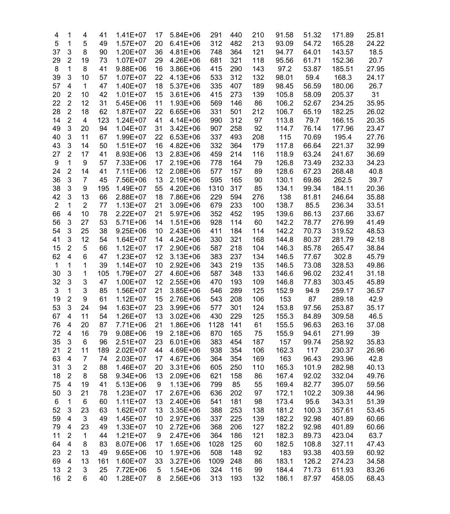| 4              | 1                       | 4              | 41  | $1.41E+07$   | 17 | 5.84E+06     | 291  | 440 | 210 | 91.58 | 51.32 | 171.89 | 25.81 |
|----------------|-------------------------|----------------|-----|--------------|----|--------------|------|-----|-----|-------|-------|--------|-------|
| 5              | 1                       | 5              | 49  | $1.57E+07$   | 20 | $6.41E + 06$ | 312  | 482 | 213 | 93.09 | 54.72 | 165.28 | 24.22 |
| 37             | 3                       | 8              | 90  | 1.20E+07     | 36 | 4.81E+06     | 748  | 364 | 121 | 94.77 | 64.01 | 143.57 | 18.5  |
| 29             | $\overline{2}$          | 19             | 73  | $1.07E + 07$ | 29 | 4.26E+06     | 681  | 321 | 118 | 95.56 | 61.71 | 152.36 | 20.7  |
| 8              | 1                       | 8              | 41  | 9.88E+06     | 16 | 3.86E+06     | 415  | 290 | 143 | 97.2  | 53.87 | 185.51 | 27.95 |
| 39             | 3                       | 10             | 57  | $1.07E + 07$ | 22 | 4.13E+06     | 533  | 312 | 132 | 98.01 | 59.4  | 168.3  | 24.17 |
| 57             | $\overline{\mathbf{4}}$ | $\mathbf{1}$   | 47  | 1.40E+07     | 18 | 5.37E+06     | 335  | 407 | 189 | 98.45 | 56.59 | 180.06 | 26.7  |
| 20             | $\overline{2}$          | 10             | 42  | $1.01E + 07$ | 15 | $3.61E + 06$ | 415  | 273 | 139 | 105.8 | 58.09 | 205.37 | 31    |
| 22             | $\overline{2}$          | 12             | 31  | 5.45E+06     | 11 | 1.93E+06     | 569  | 146 | 86  | 106.2 | 52.67 | 234.25 | 35.95 |
| 28             | $\overline{2}$          | 18             | 62  | 1.87E+07     | 22 | $6.65E + 06$ | 331  | 501 | 212 | 106.7 | 65.19 | 182.25 | 26.02 |
|                | $\overline{2}$          | 4              |     |              |    |              |      |     |     | 113.8 | 79.7  |        |       |
| 14             |                         |                | 123 | $1.24E + 07$ | 41 | 4.14E+06     | 990  | 312 | 97  |       |       | 166.15 | 20.35 |
| 49             | 3                       | 20             | 94  | $1.04E + 07$ | 31 | $3.42E + 06$ | 907  | 258 | 92  | 114.7 | 76.14 | 177.96 | 23.47 |
| 40             | 3                       | 11             | 67  | 1.99E+07     | 22 | $6.53E + 06$ | 337  | 493 | 208 | 115   | 70.69 | 195.4  | 27.76 |
| 43             | 3                       | 14             | 50  | $1.51E+07$   | 16 | $4.82E + 06$ | 332  | 364 | 179 | 117.8 | 66.64 | 221.37 | 32.99 |
| 27             | $\overline{2}$          | 17             | 41  | 8.93E+06     | 13 | $2.83E+06$   | 459  | 214 | 116 | 118.9 | 63.24 | 241.67 | 36.69 |
| 9              | 1                       | 9              | 57  | 7.33E+06     | 17 | 2.19E+06     | 778  | 164 | 79  | 126.8 | 73.49 | 232.33 | 34.23 |
| 24             | $\overline{c}$          | 14             | 41  | 7.11E+06     | 12 | 2.08E+06     | 577  | 157 | 89  | 128.6 | 67.23 | 268.48 | 40.8  |
| 36             | 3                       | $\overline{7}$ | 45  | 7.56E+06     | 13 | 2.19E+06     | 595  | 165 | 90  | 130.1 | 69.86 | 262.5  | 39.7  |
| 38             | 3                       | 9              | 195 | 1.49E+07     | 55 | 4.20E+06     | 1310 | 317 | 85  | 134.1 | 99.34 | 184.11 | 20.36 |
| 42             | 3                       | 13             | 66  | 2.88E+07     | 18 | 7.86E+06     | 229  | 594 | 276 | 138   | 81.81 | 246.64 | 35.88 |
| $\overline{2}$ | 1                       | $\overline{2}$ | 77  | $1.13E + 07$ | 21 | 3.09E+06     | 679  | 233 | 100 | 138.7 | 85.5  | 236.34 | 33.51 |
| 66             | 4                       | 10             | 78  | 2.22E+07     | 21 | 5.97E+06     | 352  | 452 | 195 | 139.6 | 86.13 | 237.66 | 33.67 |
| 56             | 3                       | 27             | 53  | 5.71E+06     | 14 | $1.51E + 06$ | 928  | 114 | 60  | 142.2 | 78.77 | 276.99 | 41.49 |
| 54             | 3                       | 25             | 38  | $9.25E + 06$ | 10 | $2.43E+06$   | 411  | 184 | 114 | 142.2 | 70.73 | 319.52 | 48.53 |
| 41             | 3                       | 12             | 54  | $1.64E + 07$ | 14 | 4.24E+06     | 330  | 321 | 168 | 144.8 | 80.37 | 281.79 | 42.18 |
| 15             | $\overline{2}$          | 5              | 66  | $1.12E + 07$ | 17 | 2.90E+06     | 587  | 218 | 104 | 146.3 | 85.78 | 265.47 | 38.84 |
| 62             | 4                       | 6              | 47  | $1.23E+07$   | 12 | $3.13E + 06$ | 383  | 237 | 134 | 146.5 | 77.67 | 302.8  | 45.79 |
| 1              | 1                       | 1              | 39  | $1.14E + 07$ | 10 | $2.92E + 06$ | 343  | 219 | 135 | 146.5 | 73.08 | 328.53 | 49.86 |
| 30             | 3                       | 1              | 105 | 1.79E+07     | 27 | 4.60E+06     | 587  | 348 | 133 | 146.6 | 96.02 | 232.41 | 31.18 |
| 32             | 3                       | 3              | 47  | $1.00E + 07$ | 12 | $2.55E+06$   | 470  | 193 | 109 | 146.8 | 77.83 | 303.45 | 45.89 |
| 3              | 1                       | 3              | 85  | 1.56E+07     | 21 | 3.85E+06     | 546  | 289 | 125 | 152.9 | 94.9  | 259.17 | 36.57 |
|                | $\overline{2}$          | 9              | 61  | $1.12E + 07$ | 15 | 2.76E+06     |      | 208 | 106 | 153   | 87    | 289.18 | 42.9  |
| 19             | 3                       |                |     |              |    |              | 543  |     |     |       |       |        |       |
| 53             |                         | 24             | 94  | $1.63E + 07$ | 23 | 3.99E+06     | 577  | 301 | 124 | 153.8 | 97.56 | 253.87 | 35.17 |
| 67             | 4                       | 11             | 54  | 1.26E+07     | 13 | $3.02E + 06$ | 430  | 229 | 125 | 155.3 | 84.89 | 309.58 | 46.5  |
| 76             | 4                       | 20             | 87  | 7.71E+06     | 21 | 1.86E+06     | 1128 | 141 | 61  | 155.5 | 96.63 | 263.16 | 37.08 |
| 72             | 4                       | 16             | 79  | $9.08E + 06$ | 19 | 2.18E+06     | 870  | 165 | 75  | 155.9 | 94.61 | 271.99 | 39    |
| 35             | 3                       | 6              | 96  | $2.51E+07$   | 23 | $6.01E + 06$ | 383  | 454 | 187 | 157   | 99.74 | 258.92 | 35.83 |
| 21             | $\overline{2}$          | 11             | 189 | $2.02E+07$   | 44 | 4.69E+06     | 938  | 354 | 106 | 162.3 | 117   | 230.37 | 26.96 |
| 63             | 4                       | $\overline{7}$ | 74  | 2.03E+07     | 17 | 4.67E+06     | 364  | 354 | 169 | 163   | 96.43 | 293.96 | 42.8  |
| 31             | 3                       | $\overline{2}$ | 88  | 1.46E+07     | 20 | 3.31E+06     | 605  | 250 | 110 | 165.3 | 101.9 | 282.98 | 40.13 |
| 18             | $\overline{\mathbf{c}}$ | 8              | 58  | 9.34E+06     | 13 | 2.09E+06     | 621  | 158 | 86  | 167.4 | 92.02 | 332.04 | 49.76 |
| 75             | $\overline{\mathbf{4}}$ | 19             | 41  | $5.13E + 06$ | 9  | $1.13E + 06$ | 799  | 85  | 55  | 169.4 | 82.77 | 395.07 | 59.56 |
| 50             | 3                       | 21             | 78  | $1.23E + 07$ | 17 | 2.67E+06     | 636  | 202 | 97  | 172.1 | 102.2 | 309.38 | 44.96 |
| 6              | 1                       | 6              | 60  | $1.11E+07$   | 13 | 2.40E+06     | 541  | 181 | 98  | 173.4 | 95.6  | 343.31 | 51.39 |
| 52             | 3                       | 23             | 63  | $1.62E + 07$ | 13 | 3.35E+06     | 388  | 253 | 138 | 181.2 | 100.3 | 357.61 | 53.45 |
| 59             | 4                       | 3              | 49  | 1.45E+07     | 10 | 2.97E+06     | 337  | 225 | 139 | 182.2 | 92.98 | 401.89 | 60.66 |
| 79             | 4                       | 23             | 49  | $1.33E + 07$ | 10 | 2.72E+06     | 368  | 206 | 127 | 182.2 | 92.98 | 401.89 | 60.66 |
| 11             | $\overline{c}$          | $\mathbf 1$    | 44  | $1.21E+07$   | 9  | 2.47E+06     | 364  | 186 | 121 | 182.3 | 89.73 | 423.04 | 63.7  |
| 64             | $\overline{\mathbf{4}}$ | 8              | 83  | 8.07E+06     | 17 | 1.65E+06     | 1028 | 125 | 60  | 182.5 | 108.8 | 327.11 | 47.43 |
| 23             | $\overline{c}$          | 13             | 49  | $9.65E + 06$ | 10 | 1.97E+06     | 508  | 148 | 92  | 183   | 93.38 | 403.59 | 60.92 |
| 69             | $\overline{\mathbf{4}}$ | 13             | 161 | 1.60E+07     | 33 | $3.27E + 06$ | 1009 | 248 | 86  | 183.1 | 126.2 | 274.23 | 34.58 |
|                | $\boldsymbol{2}$        | 3              |     |              |    |              | 324  |     |     |       | 71.73 |        |       |
| 13             | $\boldsymbol{2}$        |                | 25  | 7.72E+06     | 5  | 1.54E+06     |      | 116 | 99  | 184.4 |       | 611.93 | 83.26 |
| 16             |                         | 6              | 40  | 1.28E+07     | 8  | 2.56E+06     | 313  | 193 | 132 | 186.1 | 87.97 | 458.05 | 68.43 |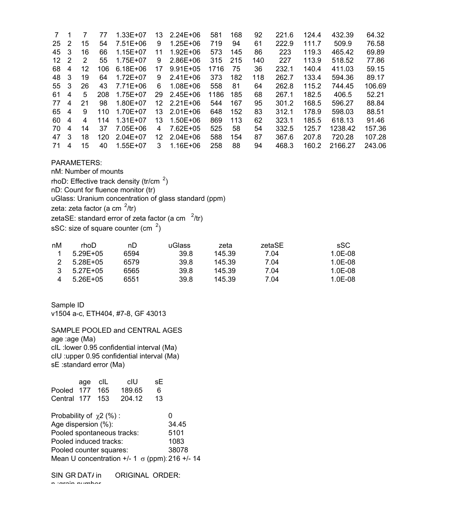| 7   | 1 |    | 77  | $1.33E + 07$ | 13 | $2.24E + 06$ | 581  | 168 | 92  | 221.6 | 124.4 | 432.39  | 64.32  |
|-----|---|----|-----|--------------|----|--------------|------|-----|-----|-------|-------|---------|--------|
| 25  | 2 | 15 | 54  | 7.51E+06     | 9  | $1.25E + 06$ | 719  | 94  | 61  | 222.9 | 111.7 | 509.9   | 76.58  |
| 45  | 3 | 16 | 66  | 1.15E+07     | 11 | $1.92E + 06$ | 573  | 145 | 86  | 223   | 119.3 | 465.42  | 69.89  |
| 12  | 2 | 2  | 55  | 1.75E+07     | 9  | $2.86E + 06$ | 315  | 215 | 140 | 227   | 113.9 | 518.52  | 77.86  |
| 68  | 4 | 12 | 106 | $6.18E + 06$ | 17 | $9.91E + 05$ | 1716 | 75  | 36  | 232.1 | 140.4 | 411.03  | 59.15  |
| 48  | 3 | 19 | 64  | 1.72E+07     | 9  | $2.41E + 06$ | 373  | 182 | 118 | 262.7 | 133.4 | 594.36  | 89.17  |
| 55  | 3 | 26 | 43  | 7.71E+06     | 6  | 1.08E+06     | 558  | 81  | 64  | 262.8 | 115.2 | 744.45  | 106.69 |
| 61  | 4 | 5  | 208 | 1.75E+07     | 29 | $2.45E + 06$ | 1186 | 185 | 68  | 267.1 | 182.5 | 406.5   | 52.21  |
| 77  | 4 | 21 | 98  | 1.80E+07     | 12 | $2.21E + 06$ | 544  | 167 | 95  | 301.2 | 168.5 | 596.27  | 88.84  |
| 65  | 4 | 9  | 110 | 1.70E+07     | 13 | $2.01E + 06$ | 648  | 152 | 83  | 312.1 | 178.9 | 598.03  | 88.51  |
| 60. | 4 | 4  | 114 | $1.31E + 07$ | 13 | $1.50E + 06$ | 869  | 113 | 62  | 323.1 | 185.5 | 618.13  | 91.46  |
| 70  | 4 | 14 | 37  | 7.05E+06     | 4  | 7.62E+05     | 525  | 58  | 54  | 332.5 | 125.7 | 1238.42 | 157.36 |
| 47  | 3 | 18 | 120 | $2.04E + 07$ | 12 | $2.04E + 06$ | 588  | 154 | 87  | 367.6 | 207.8 | 720.28  | 107.28 |
| 71  | 4 | 15 | 40  | 1.55E+07     | 3  | $1.16E + 06$ | 258  | 88  | 94  | 468.3 | 160.2 | 2166.27 | 243.06 |

### **PARAMETERS:**

nM: Number of mounts rhoD: Effective track density (tr/cm  $2$ ) nD: Count for fluence monitor (tr) uGlass: Uranium concentration of glass standard (ppm) zeta: zeta factor (a cm  $2$ /tr) zetaSE: standard error of zeta factor (a cm  $2$ /tr) sSC: size of square counter (cm  $2$ )

| nM | rhoD          | nD   | uGlass | zeta   | zetaSE | sSC     |
|----|---------------|------|--------|--------|--------|---------|
|    | $5.29E + 0.5$ | 6594 | 39.8   | 145.39 | 7.04   | 1.0E-08 |
|    | $5.28E + 0.5$ | 6579 | 39.8   | 145.39 | 7.04   | 1.0E-08 |
|    | $5.27E + 0.5$ | 6565 | 39.8   | 145.39 | 7.04   | 1.0E-08 |
|    | $5.26E + 0.5$ | 6551 | 39.8   | 145.39 | 7.04   | 1.0E-08 |

Sample ID v1504 a-c, ETH404, #7-8, GF 43013

SAMPLE POOLED and CENTRAL AGES age :age (Ma) clL : lower 0.95 confidential interval (Ma) cIU :upper 0.95 confidential interval (Ma) sE : standard error (Ma)

| Pooled 177<br>Central 177                                         | age | cIL<br>165<br>153 | clU<br>189.65<br>204.12 | sЕ<br>6<br>13 |      |  |  |  |  |
|-------------------------------------------------------------------|-----|-------------------|-------------------------|---------------|------|--|--|--|--|
| Probability of $\chi$ 2 (%):<br>O<br>Age dispersion (%):<br>34.45 |     |                   |                         |               |      |  |  |  |  |
| Pooled spontaneous tracks:                                        |     |                   |                         |               | 5101 |  |  |  |  |
| Pooled induced tracks:<br>1083                                    |     |                   |                         |               |      |  |  |  |  |
| 38078<br>Pooled counter squares:                                  |     |                   |                         |               |      |  |  |  |  |
| Mean U concentration $+/- 1 \sigma$ (ppm): 216 $+/- 14$           |     |                   |                         |               |      |  |  |  |  |

SIN GR DAT/ in **ORIGINAL ORDER:** n taroin numbor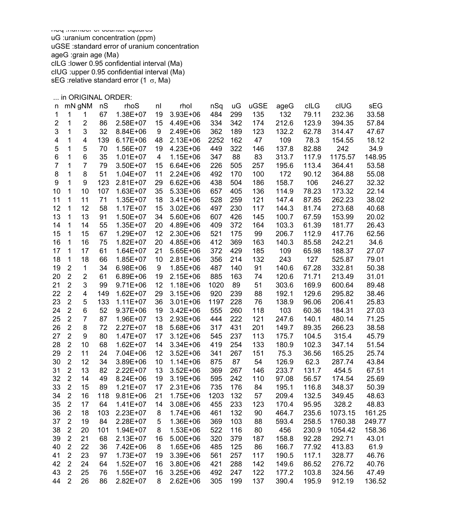rhoS : density of spontaneous tracks (tr/cm  $\rightarrow$ )

rhol : density of induced tracks (tr/cm  $^{-2}$ ) nSq :number of counter squares uG :uranium concentration (ppm) uGSE :standard error of uranium concentration ageG :grain age (Ma) cILG :lower 0.95 confidential interval (Ma) cIUG :upper 0.95 confidential interval (Ma) sEG : relative standard error  $(1 \sigma, Ma)$ 

... in ORIGINAL ORDER:<br>p. mN.cNM p.S. p. rboS.

| n              |                  | mN gNM         | nS  | rhoS         | nl | rhol         | nSq  | uG  | uGSE | ageG  | cILG  | clUG    | sEG    |
|----------------|------------------|----------------|-----|--------------|----|--------------|------|-----|------|-------|-------|---------|--------|
| 1              | 1                | 1              | 67  | 1.38E+07     | 19 | 3.93E+06     | 484  | 299 | 135  | 132   | 79.11 | 232.36  | 33.58  |
| $\overline{2}$ | 1                | $\overline{2}$ | 86  | 2.58E+07     | 15 | 4.49E+06     | 334  | 342 | 174  | 212.6 | 123.9 | 394.35  | 57.84  |
| 3              | 1                | 3              | 32  | 8.84E+06     | 9  | 2.49E+06     | 362  | 189 | 123  | 132.2 | 62.78 | 314.47  | 47.67  |
| 4              | 1                | 4              | 139 | $6.17E + 06$ | 48 | 2.13E+06     | 2252 | 162 | 47   | 109   | 78.3  | 154.55  | 18.12  |
| 5              | 1                | 5              | 70  | 1.56E+07     | 19 | 4.23E+06     | 449  | 322 | 146  | 137.8 | 82.88 | 242     | 34.9   |
| 6              | 1                | 6              | 35  | $1.01E + 07$ | 4  | $1.15E + 06$ | 347  | 88  | 83   | 313.7 | 117.9 | 1175.57 | 148.95 |
| 7              | 1                | $\overline{7}$ | 79  | 3.50E+07     | 15 | $6.64E + 06$ | 226  | 505 | 257  | 195.6 | 113.4 | 364.41  | 53.58  |
| 8              | 1                | 8              | 51  | $1.04E + 07$ | 11 | 2.24E+06     | 492  | 170 | 100  | 172   | 90.12 | 364.88  | 55.08  |
| 9              | 1                | 9              | 123 | 2.81E+07     | 29 | $6.62E + 06$ | 438  | 504 | 186  | 158.7 | 106   | 246.27  | 32.32  |
| 10             | 1                | 10             | 107 | 1.63E+07     | 35 | 5.33E+06     | 657  | 405 | 136  | 114.9 | 78.23 | 173.32  | 22.14  |
| 11             | 1                | 11             | 71  | 1.35E+07     | 18 | 3.41E+06     | 528  | 259 | 121  | 147.4 | 87.85 | 262.23  | 38.02  |
| 12             | $\mathbf{1}$     | 12             | 58  | $1.17E + 07$ | 15 | 3.02E+06     | 497  | 230 | 117  | 144.3 | 81.74 | 273.68  | 40.68  |
| 13             | 1                | 13             | 91  | 1.50E+07     | 34 | 5.60E+06     | 607  | 426 | 145  | 100.7 | 67.59 | 153.99  | 20.02  |
| 14             | 1                | 14             | 55  | 1.35E+07     | 20 | 4.89E+06     | 409  | 372 | 164  | 103.3 | 61.39 | 181.77  | 26.43  |
| 15             | 1                | 15             | 67  | 1.29E+07     | 12 | 2.30E+06     | 521  | 175 | 99   | 206.7 | 112.9 | 417.76  | 62.56  |
| 16             | 1                | 16             | 75  | $1.82E + 07$ | 20 | 4.85E+06     | 412  | 369 | 163  | 140.3 | 85.58 | 242.21  | 34.6   |
| 17             | 1                | 17             | 61  | 1.64E+07     | 21 | 5.65E+06     | 372  | 429 | 185  | 109   | 65.98 | 188.37  | 27.07  |
| 18             | 1                | 18             | 66  | 1.85E+07     | 10 | 2.81E+06     | 356  | 214 | 132  | 243   | 127   | 525.87  | 79.01  |
| 19             | $\boldsymbol{2}$ | $\mathbf 1$    | 34  | 6.98E+06     | 9  | 1.85E+06     | 487  | 140 | 91   | 140.6 | 67.28 | 332.81  | 50.38  |
| 20             | $\overline{2}$   | $\overline{2}$ | 61  | 6.89E+06     | 19 | 2.15E+06     | 885  | 163 | 74   | 120.6 | 71.71 | 213.49  | 31.01  |
| 21             | $\overline{c}$   | 3              | 99  | $9.71E + 06$ | 12 | 1.18E+06     | 1020 | 89  | 51   | 303.6 | 169.9 | 600.64  | 89.48  |
| 22             | $\overline{2}$   | 4              | 149 | 1.62E+07     | 29 | $3.15E + 06$ | 920  | 239 | 88   | 192.1 | 129.6 | 295.82  | 38.46  |
| 23             | $\overline{2}$   | 5              | 133 | $1.11E+07$   | 36 | 3.01E+06     | 1197 | 228 | 76   | 138.9 | 96.06 | 206.41  | 25.83  |
| 24             | $\overline{c}$   | 6              | 52  | 9.37E+06     | 19 | $3.42E + 06$ | 555  | 260 | 118  | 103   | 60.36 | 184.31  | 27.03  |
| 25             | $\overline{2}$   | 7              | 87  | 1.96E+07     | 13 | 2.93E+06     | 444  | 222 | 121  | 247.6 | 140.1 | 480.14  | 71.25  |
| 26             | $\overline{2}$   | 8              | 72  | 2.27E+07     | 18 | 5.68E+06     | 317  | 431 | 201  | 149.7 | 89.35 | 266.23  | 38.58  |
| 27             | $\overline{c}$   | 9              | 80  | 1.47E+07     | 17 | $3.12E + 06$ | 545  | 237 | 113  | 175.7 | 104.5 | 315.4   | 45.79  |
| 28             | $\overline{c}$   | 10             | 68  | 1.62E+07     | 14 | 3.34E+06     | 419  | 254 | 133  | 180.9 | 102.3 | 347.14  | 51.54  |
| 29             | $\overline{2}$   | 11             | 24  | 7.04E+06     | 12 | $3.52E + 06$ | 341  | 267 | 151  | 75.3  | 36.56 | 165.25  | 25.74  |
| 30             | $\overline{2}$   | 12             | 34  | 3.89E+06     | 10 | $1.14E + 06$ | 875  | 87  | 54   | 126.9 | 62.3  | 287.74  | 43.84  |
| 31             | $\overline{c}$   | 13             | 82  | 2.22E+07     | 13 | $3.52E + 06$ | 369  | 267 | 146  | 233.7 | 131.7 | 454.5   | 67.51  |
| 32             | $\overline{2}$   | 14             | 49  | 8.24E+06     | 19 | 3.19E+06     | 595  | 242 | 110  | 97.08 | 56.57 | 174.54  | 25.69  |
| 33             | $\overline{2}$   | 15             | 89  | $1.21E + 07$ | 17 | 2.31E+06     | 735  | 176 | 84   | 195.1 | 116.8 | 348.37  | 50.39  |
| 34             | $\boldsymbol{2}$ | 16             | 118 | $9.81E + 06$ | 21 | 1.75E+06     | 1203 | 132 | 57   | 209.4 | 132.5 | 349.45  | 48.63  |
| 35             | $\overline{2}$   | 17             | 64  | $1.41E+07$   | 14 | 3.08E+06     | 455  | 233 | 123  | 170.4 | 95.95 | 328.2   | 48.83  |
| 36             | $\overline{2}$   | 18             | 103 | 2.23E+07     | 8  | 1.74E+06     | 461  | 132 | 90   | 464.7 | 235.6 | 1073.15 | 161.25 |
| 37             | $\boldsymbol{2}$ | 19             | 84  | 2.28E+07     | 5  | 1.36E+06     | 369  | 103 | 88   | 593.4 | 258.5 | 1760.38 | 249.77 |
| 38             | $\overline{c}$   | 20             | 101 | $1.94E + 07$ | 8  | $1.53E + 06$ | 522  | 116 | 80   | 456   | 230.9 | 1054.42 | 158.36 |
| 39             | $\overline{c}$   | 21             | 68  | 2.13E+07     | 16 | 5.00E+06     | 320  | 379 | 187  | 158.8 | 92.28 | 292.71  | 43.01  |
| 40             | $\boldsymbol{2}$ | 22             | 36  | 7.42E+06     | 8  | 1.65E+06     | 485  | 125 | 86   | 166.7 | 77.92 | 413.83  | 61.9   |
| 41             | $\overline{c}$   | 23             | 97  | 1.73E+07     | 19 | 3.39E+06     | 561  | 257 | 117  | 190.5 | 117.1 | 328.77  | 46.76  |
| 42             | $\boldsymbol{2}$ | 24             | 64  | $1.52E + 07$ | 16 | 3.80E+06     | 421  | 288 | 142  | 149.6 | 86.52 | 276.72  | 40.76  |
| 43             | $\overline{2}$   | 25             | 76  | 1.55E+07     | 16 | 3.25E+06     | 492  | 247 | 122  | 177.2 | 103.8 | 324.56  | 47.49  |
| 44             | $\overline{2}$   | 26             | 86  | 2.82E+07     | 8  | 2.62E+06     | 305  | 199 | 137  | 390.4 | 195.9 | 912.19  | 136.52 |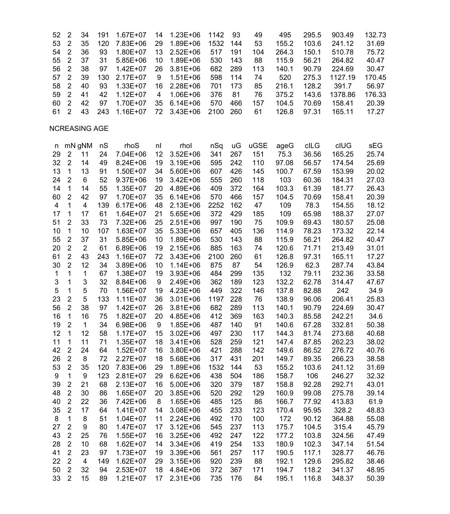| 52           | $\overline{2}$   | 34             | 191 | 1.67E+07     | 14 | 1.23E+06     | 1142 | 93  | 49   | 495   | 295.5 | 903.49  | 132.73 |
|--------------|------------------|----------------|-----|--------------|----|--------------|------|-----|------|-------|-------|---------|--------|
| 53           | $\overline{c}$   | 35             | 120 | 7.83E+06     | 29 | 1.89E+06     | 1532 | 144 | 53   | 155.2 | 103.6 | 241.12  | 31.69  |
| 54           | $\boldsymbol{2}$ | 36             | 93  | 1.80E+07     | 13 | $2.52E+06$   | 517  | 191 | 104  | 264.3 | 150.1 | 510.78  | 75.72  |
| 55           | $\overline{2}$   | 37             | 31  | $5.85E + 06$ | 10 | 1.89E+06     | 530  | 143 | 88   | 115.9 | 56.21 | 264.82  | 40.47  |
| 56           | $\overline{c}$   | 38             | 97  | $1.42E + 07$ | 26 | $3.81E + 06$ | 682  | 289 | 113  | 140.1 | 90.79 | 224.69  | 30.47  |
| 57           | $\overline{2}$   | 39             | 130 | $2.17E+07$   | 9  | $1.51E + 06$ | 598  | 114 | 74   | 520   | 275.3 | 1127.19 | 170.45 |
| 58           | $\overline{c}$   | 40             | 93  | 1.33E+07     | 16 | 2.28E+06     | 701  | 173 | 85   | 216.1 | 128.2 | 391.7   | 56.97  |
| 59           | $\overline{2}$   | 41             | 42  | $1.12E + 07$ | 4  | 1.06E+06     | 376  | 81  | 76   | 375.2 | 143.6 | 1378.86 | 176.33 |
| 60           | $\overline{2}$   | 42             | 97  | 1.70E+07     | 35 | $6.14E + 06$ | 570  | 466 | 157  | 104.5 | 70.69 | 158.41  | 20.39  |
| 61           | $\overline{2}$   | 43             | 243 | 1.16E+07     | 72 | $3.43E + 06$ | 2100 | 260 | 61   | 126.8 | 97.31 | 165.11  | 17.27  |
|              |                  | NCREASING AGE  |     |              |    |              |      |     |      |       |       |         |        |
|              |                  |                |     |              |    |              |      |     |      |       |       |         |        |
| n            |                  | mN gNM         | nS  | rhoS         | nl | rhol         | nSq  | uG  | uGSE | ageG  | cILG  | cIUG    | sEG    |
| 29           | $\overline{2}$   | 11             | 24  | 7.04E+06     | 12 | $3.52E + 06$ | 341  | 267 | 151  | 75.3  | 36.56 | 165.25  | 25.74  |
| 32           | $\overline{c}$   | 14             | 49  | 8.24E+06     | 19 | 3.19E+06     | 595  | 242 | 110  | 97.08 | 56.57 | 174.54  | 25.69  |
| 13           | $\mathbf{1}$     | 13             | 91  | 1.50E+07     | 34 | 5.60E+06     | 607  | 426 | 145  | 100.7 | 67.59 | 153.99  | 20.02  |
| 24           | $\overline{2}$   | 6              | 52  | $9.37E + 06$ | 19 | $3.42E + 06$ | 555  | 260 | 118  | 103   | 60.36 | 184.31  | 27.03  |
| 14           | $\mathbf{1}$     | 14             | 55  | 1.35E+07     | 20 | 4.89E+06     | 409  | 372 | 164  | 103.3 | 61.39 | 181.77  | 26.43  |
| 60           | $\overline{2}$   | 42             | 97  | 1.70E+07     | 35 | $6.14E + 06$ | 570  | 466 | 157  | 104.5 | 70.69 | 158.41  | 20.39  |
| 4            | 1                | 4              | 139 | $6.17E + 06$ | 48 | $2.13E + 06$ | 2252 | 162 | 47   | 109   | 78.3  | 154.55  | 18.12  |
| 17           | 1                | 17             | 61  | 1.64E+07     | 21 | $5.65E + 06$ | 372  | 429 | 185  | 109   | 65.98 | 188.37  | 27.07  |
| 51           | 2                | 33             | 73  | 7.32E+06     | 25 | 2.51E+06     | 997  | 190 | 75   | 109.9 | 69.43 | 180.57  | 25.08  |
| 10           | 1                | 10             | 107 | $1.63E + 07$ | 35 | $5.33E + 06$ | 657  | 405 | 136  | 114.9 | 78.23 | 173.32  | 22.14  |
| 55           | $\overline{2}$   | 37             | 31  | $5.85E + 06$ | 10 | 1.89E+06     | 530  | 143 | 88   | 115.9 | 56.21 | 264.82  | 40.47  |
| 20           | $\overline{2}$   | $\overline{2}$ | 61  | 6.89E+06     | 19 | 2.15E+06     | 885  | 163 | 74   | 120.6 | 71.71 | 213.49  | 31.01  |
| 61           | $\overline{2}$   | 43             | 243 | 1.16E+07     | 72 | $3.43E + 06$ | 2100 | 260 | 61   | 126.8 | 97.31 | 165.11  | 17.27  |
| 30           | $\overline{2}$   | 12             | 34  | 3.89E+06     | 10 | $1.14E + 06$ | 875  | 87  | 54   | 126.9 | 62.3  | 287.74  | 43.84  |
| $\mathbf{1}$ | 1                | 1              | 67  | 1.38E+07     | 19 | $3.93E + 06$ | 484  | 299 | 135  | 132   | 79.11 | 232.36  | 33.58  |
| 3            | 1                | 3              | 32  | 8.84E+06     | 9  | 2.49E+06     | 362  | 189 | 123  | 132.2 | 62.78 | 314.47  | 47.67  |
| 5            | 1                | 5              | 70  | 1.56E+07     | 19 | $4.23E + 06$ | 449  | 322 | 146  | 137.8 | 82.88 | 242     | 34.9   |
|              | $\overline{c}$   | 5              | 133 |              |    |              |      | 228 |      |       |       |         |        |
| 23           | $\overline{2}$   |                |     | $1.11E+07$   | 36 | $3.01E + 06$ | 1197 |     | 76   | 138.9 | 96.06 | 206.41  | 25.83  |
| 56           |                  | 38             | 97  | $1.42E + 07$ | 26 | 3.81E+06     | 682  | 289 | 113  | 140.1 | 90.79 | 224.69  | 30.47  |
| 16           | $\mathbf{1}$     | 16             | 75  | $1.82E + 07$ | 20 | 4.85E+06     | 412  | 369 | 163  | 140.3 | 85.58 | 242.21  | 34.6   |
| 19           | $\overline{2}$   | $\mathbf{1}$   | 34  | 6.98E+06     | 9  | 1.85E+06     | 487  | 140 | 91   | 140.6 | 67.28 | 332.81  | 50.38  |
| 12           | 1                | 12             | 58  | $1.17E + 07$ | 15 | $3.02E + 06$ | 497  | 230 | 117  | 144.3 | 81.74 | 273.68  | 40.68  |
| 11           | 1                | 11             | 71  | 1.35E+07     | 18 | $3.41E + 06$ | 528  | 259 | 121  | 147.4 | 87.85 | 262.23  | 38.02  |
| 42           | $\boldsymbol{2}$ | 24             | 64  | $1.52E+07$   | 16 | 3.80E+06     | 421  | 288 | 142  | 149.6 | 86.52 | 276.72  | 40.76  |
| 26           | $\boldsymbol{2}$ | 8              | 72  | 2.27E+07     | 18 | 5.68E+06     | 317  | 431 | 201  | 149.7 | 89.35 | 266.23  | 38.58  |
| 53           | $\overline{2}$   | 35             | 120 | 7.83E+06     | 29 | 1.89E+06     | 1532 | 144 | 53   | 155.2 | 103.6 | 241.12  | 31.69  |
| 9            | 1                | 9              | 123 | $2.81E+07$   | 29 | $6.62E + 06$ | 438  | 504 | 186  | 158.7 | 106   | 246.27  | 32.32  |
| 39           | $\boldsymbol{2}$ | 21             | 68  | $2.13E+07$   | 16 | 5.00E+06     | 320  | 379 | 187  | 158.8 | 92.28 | 292.71  | 43.01  |
| 48           | $\overline{2}$   | 30             | 86  | 1.65E+07     | 20 | 3.85E+06     | 520  | 292 | 129  | 160.9 | 99.08 | 275.78  | 39.14  |
| 40           | $\boldsymbol{2}$ | 22             | 36  | 7.42E+06     | 8  | 1.65E+06     | 485  | 125 | 86   | 166.7 | 77.92 | 413.83  | 61.9   |
| 35           | $\overline{2}$   | 17             | 64  | $1.41E+07$   | 14 | 3.08E+06     | 455  | 233 | 123  | 170.4 | 95.95 | 328.2   | 48.83  |
| 8            | 1                | 8              | 51  | $1.04E + 07$ | 11 | $2.24E + 06$ | 492  | 170 | 100  | 172   | 90.12 | 364.88  | 55.08  |
| 27           | $\overline{2}$   | 9              | 80  | 1.47E+07     | 17 | $3.12E + 06$ | 545  | 237 | 113  | 175.7 | 104.5 | 315.4   | 45.79  |
| 43           | $\overline{c}$   | 25             | 76  | $1.55E+07$   | 16 | $3.25E + 06$ | 492  | 247 | 122  | 177.2 | 103.8 | 324.56  | 47.49  |
| 28           | $\overline{2}$   | 10             | 68  | $1.62E + 07$ | 14 | $3.34E + 06$ | 419  | 254 | 133  | 180.9 | 102.3 |         | 51.54  |
|              | $\overline{2}$   |                |     |              |    |              |      |     |      |       |       | 347.14  |        |
| 41           |                  | 23             | 97  | 1.73E+07     | 19 | 3.39E+06     | 561  | 257 | 117  | 190.5 | 117.1 | 328.77  | 46.76  |
| 22           | $\overline{2}$   | $\overline{4}$ | 149 | $1.62E + 07$ | 29 | $3.15E + 06$ | 920  | 239 | 88   | 192.1 | 129.6 | 295.82  | 38.46  |
| 50           | $\overline{2}$   | 32             | 94  | 2.53E+07     | 18 | 4.84E+06     | 372  | 367 | 171  | 194.7 | 118.2 | 341.37  | 48.95  |
| 33           | $\overline{2}$   | 15             | 89  | 1.21E+07     |    | 17 2.31E+06  | 735  | 176 | 84   | 195.1 | 116.8 | 348.37  | 50.39  |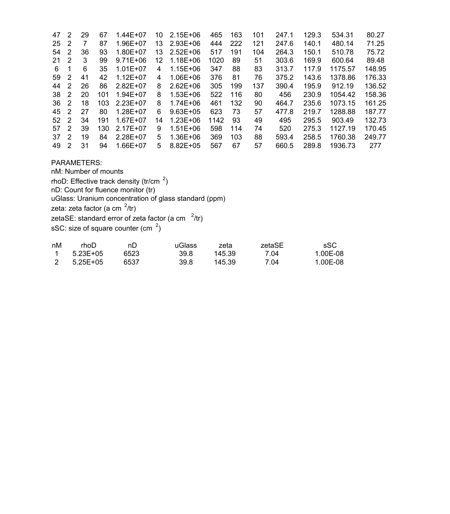| 47 | 2  | 29 | 67  | 1.44E+07     | 10 | $2.15E + 06$ | 465  | 163 | 101 | 247.1 | 129.3 | 534.31  | 80.27  |
|----|----|----|-----|--------------|----|--------------|------|-----|-----|-------|-------|---------|--------|
| 25 | 2  |    | 87  | 1.96E+07     | 13 | $2.93E + 06$ | 444  | 222 | 121 | 247.6 | 140.1 | 480.14  | 71.25  |
| 54 | 2  | 36 | 93  | 1.80E+07     | 13 | $2.52E + 06$ | 517  | 191 | 104 | 264.3 | 150.1 | 510.78  | 75.72  |
| 21 | 2  | 3  | 99  | $9.71E + 06$ | 12 | 1.18E+06     | 1020 | 89  | 51  | 303.6 | 169.9 | 600.64  | 89.48  |
| 6  | -1 | 6  | 35  | $1.01E + 07$ | 4  | 1.15E+06     | 347  | 88  | 83  | 313.7 | 117.9 | 1175.57 | 148.95 |
| 59 | 2  | 41 | 42  | $1.12E + 07$ | 4  | 1.06E+06     | 376  | 81  | 76  | 375.2 | 143.6 | 1378.86 | 176.33 |
| 44 | 2  | 26 | 86  | $2.82E+07$   | 8  | $2.62E + 06$ | 305  | 199 | 137 | 390.4 | 195.9 | 912.19  | 136.52 |
| 38 | 2  | 20 | 101 | $1.94E + 07$ | 8  | $1.53E + 06$ | 522  | 116 | 80  | 456   | 230.9 | 1054.42 | 158.36 |
| 36 | 2  | 18 | 103 | $2.23E+07$   | 8  | $1.74E + 06$ | 461  | 132 | 90  | 464.7 | 235.6 | 1073.15 | 161.25 |
| 45 | 2  | 27 | 80  | $1.28E + 07$ | 6  | $9.63E + 05$ | 623  | 73  | 57  | 477.8 | 219.7 | 1288.88 | 187.77 |
| 52 | 2  | 34 | 191 | $1.67E + 07$ | 14 | $1.23E + 06$ | 1142 | 93  | 49  | 495   | 295.5 | 903.49  | 132.73 |
| 57 | 2  | 39 | 130 | 2.17E+07     | 9  | $1.51E + 06$ | 598  | 114 | 74  | 520   | 275.3 | 1127.19 | 170.45 |
| 37 | 2  | 19 | 84  | 2.28E+07     | 5. | 1.36E+06     | 369  | 103 | 88  | 593.4 | 258.5 | 1760.38 | 249.77 |
| 49 | 2  | 31 | 94  | 1.66E+07     | 5  | $8.82E + 05$ | 567  | 67  | 57  | 660.5 | 289.8 | 1936.73 | 277    |

## PARAMETERS:

nM: Number of mounts

rhoD: Effective track density (tr/cm  $2$ )

nD: Count for fluence monitor (tr)

uGlass: Uranium concentration of glass standard (ppm)

zeta: zeta factor (a cm <sup>2</sup>/tr)

zetaSE: standard error of zeta factor (a cm $^{-2}$ /tr)

sSC: size of square counter (cm $^2$ )

| nM | rhoD     | nD   | uGlass | zeta   | zetaSE | .sSC     |
|----|----------|------|--------|--------|--------|----------|
|    | 5.23E+05 | 6523 | 39.8   | 145.39 | 7.04   | 1.00E-08 |
|    | 5.25E+05 | 6537 | 39.8   | 145.39 | 7.04   | 1.00E-08 |